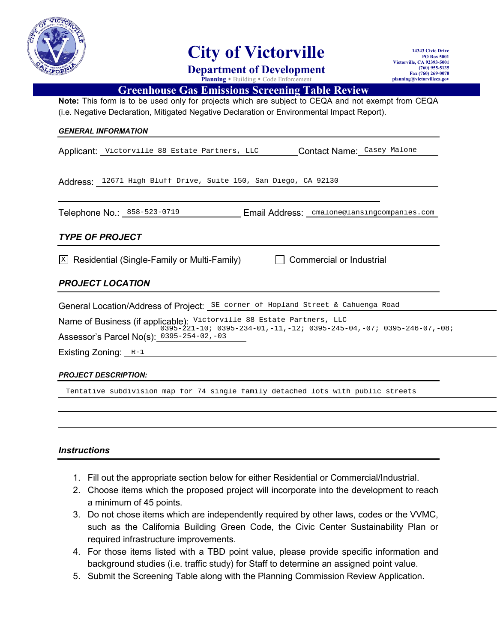

# **City of Victorville**

**Department of Development Planning** • Building • Code Enforcement

**14343 Civic Drive PO Box 5001 Victorville, CA 92393-5001 (760) 955-5135 Fax (760) 269-0070 planning@victorvilleca.gov**

## **Greenhouse Gas Emissions Screening Table Review**

**Note:** This form is to be used only for projects which are subject to CEQA and not exempt from CEQA<br>(i.e. Negative Declaration, Mitigated Negative Declaration or Environmental Impact Report). (i.e. Negative Declaration, Mitigated Negative Declaration or Environmental Impact Report)

#### *GENERAL INFORMATION*

Applicant: Victorville 88 Estate Partners, LLC **Contact Name:** Casey Malone Victorville 88 Estate Partners, LLC Contact Name: Casey Malone<br>12671 High Bluff Drive, Suite 150, San Diego, CA 92130<br>No.: 858-523-0719 Email Address: cmalone@lansingcompanies.com

Address: 12671 High Bluff Drive, Suite 150, San Diego, CA 92130

Telephone No.: 858-523-0719 Email Address: cmalone@lansingcompanies.com

## *TYPE OF PROJECT*

 $\mathbb{X}$  Residential (Single-Family or Multi

## *PROJECT LOCATION*

|                            | General Location/Address of Project: SE corner of Hopland Street & Cahuenga Road                                                                                                                                         |
|----------------------------|--------------------------------------------------------------------------------------------------------------------------------------------------------------------------------------------------------------------------|
|                            | Name of Business (if applicable): Victorville 88 Estate Partners, LLC<br>$0395-221-10; 0395-234-01, -11, -12; 0395-245-04, -07; 0395-246-07, -08;$                                                                       |
|                            | Assessor's Parcel No(s): 0395-254-02,-03                                                                                                                                                                                 |
|                            | Existing Zoning: $R-1$                                                                                                                                                                                                   |
|                            | <b>PROJECT DESCRIPTION:</b>                                                                                                                                                                                              |
|                            | Tentative subdivision map for 74 single family detached lots with public streets                                                                                                                                         |
|                            |                                                                                                                                                                                                                          |
|                            |                                                                                                                                                                                                                          |
| <i><b>Instructions</b></i> |                                                                                                                                                                                                                          |
| $2_{-}$                    | 1. Fill out the appropriate section below for either Residential or Commercial/Industrial.<br>Choose items which the proposed project will incorporate into the development to reach                                     |
|                            | a minimum of 45 points.                                                                                                                                                                                                  |
|                            | 3. Do not chose items which are independently required by other laws, codes or the VVMC,<br>such as the California Building Green Code, the Civic Center Sustainability Plan or<br>required infrastructure improvements. |
|                            | 4. For those items listed with a TBD point value, please provide specific information and<br>background studies (i.e. traffic study) for Staff to determine an assigned point value.                                     |
|                            | 5. Submit the Screening Table along with the Planning Commission Review Application.                                                                                                                                     |

 $\Box$  Commercial or Industrial

#### *PROJECT DESCRIPTION:*

### *Instructions*

- 1. Fill out the appropriate section below for either Residential or Commercial/Industrial.
- 2. Choose items which the proposed project will incorporate into the development to reach a minimum of 45 points.
- 3. Do not chose items which are independently required by other laws, codes or the VVMC, such as the California Building Green Code, the Civic Center Sustainability Plan or required infrastructure improvements. ms which the proposed project will incorporate into the development to reach in of 45 points.<br>
se items which are independently required by other laws, codes or the VVMC,<br>
ie California Building Green Code, the Civic Cente
- 4. For those items listed with a TBD point value, please provide specific information and background studies (i.e. traffic study) for Staff to determine an assigned point value.
- 5. Submit the Screening Table along with the Planning Commission Review Application.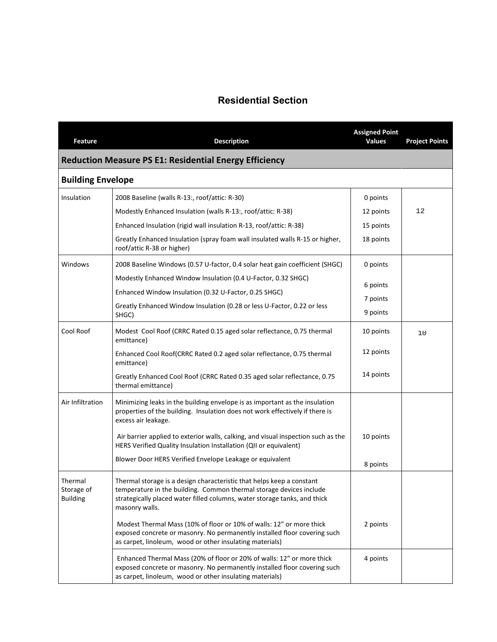# **Residential Section**

| Feature                                  | <b>Description</b>                                                                                                                                                                                                                          | <b>Assigned Point</b><br><b>Values</b> | <b>Project Points</b> |
|------------------------------------------|---------------------------------------------------------------------------------------------------------------------------------------------------------------------------------------------------------------------------------------------|----------------------------------------|-----------------------|
|                                          | <b>Reduction Measure PS E1: Residential Energy Efficiency</b>                                                                                                                                                                               |                                        |                       |
| <b>Building Envelope</b>                 |                                                                                                                                                                                                                                             |                                        |                       |
| Insulation                               | 2008 Baseline (walls R-13:, roof/attic: R-30)                                                                                                                                                                                               | 0 points                               |                       |
|                                          | Modestly Enhanced Insulation (walls R-13:, roof/attic: R-38)                                                                                                                                                                                | 12 points                              | 12                    |
|                                          | Enhanced Insulation (rigid wall insulation R-13, roof/attic: R-38)                                                                                                                                                                          | 15 points                              |                       |
|                                          | Greatly Enhanced Insulation (spray foam wall insulated walls R-15 or higher,<br>roof/attic R-38 or higher)                                                                                                                                  | 18 points                              |                       |
| Windows                                  | 2008 Baseline Windows (0.57 U-factor, 0.4 solar heat gain coefficient (SHGC)                                                                                                                                                                | 0 points                               |                       |
|                                          | Modestly Enhanced Window Insulation (0.4 U-Factor, 0.32 SHGC)                                                                                                                                                                               |                                        |                       |
|                                          | Enhanced Window Insulation (0.32 U-Factor, 0.25 SHGC)                                                                                                                                                                                       | 6 points                               |                       |
|                                          | Greatly Enhanced Window Insulation (0.28 or less U-Factor, 0.22 or less<br>SHGC)                                                                                                                                                            | 7 points<br>9 points                   |                       |
| Cool Roof                                | Modest Cool Roof (CRRC Rated 0.15 aged solar reflectance, 0.75 thermal<br>emittance)                                                                                                                                                        | 10 points                              | 10                    |
|                                          | Enhanced Cool Roof(CRRC Rated 0.2 aged solar reflectance, 0.75 thermal<br>emittance)                                                                                                                                                        | 12 points                              |                       |
|                                          | Greatly Enhanced Cool Roof (CRRC Rated 0.35 aged solar reflectance, 0.75<br>thermal emittance)                                                                                                                                              | 14 points                              |                       |
| Air Infiltration                         | Minimizing leaks in the building envelope is as important as the insulation<br>properties of the building. Insulation does not work effectively if there is<br>excess air leakage.                                                          |                                        |                       |
|                                          | Air barrier applied to exterior walls, calking, and visual inspection such as the<br>HERS Verified Quality Insulation Installation (QII or equivalent)                                                                                      | 10 points                              |                       |
|                                          | Blower Door HERS Verified Envelope Leakage or equivalent                                                                                                                                                                                    | 8 points                               |                       |
| Thermal<br>Storage of<br><b>Building</b> | Thermal storage is a design characteristic that helps keep a constant<br>temperature in the building. Common thermal storage devices include<br>strategically placed water filled columns, water storage tanks, and thick<br>masonry walls. |                                        |                       |
|                                          | Modest Thermal Mass (10% of floor or 10% of walls: 12" or more thick<br>exposed concrete or masonry. No permanently installed floor covering such<br>as carpet, linoleum, wood or other insulating materials)                               | 2 points                               |                       |
|                                          | Enhanced Thermal Mass (20% of floor or 20% of walls: 12" or more thick<br>exposed concrete or masonry. No permanently installed floor covering such<br>as carpet, linoleum, wood or other insulating materials)                             | 4 points                               |                       |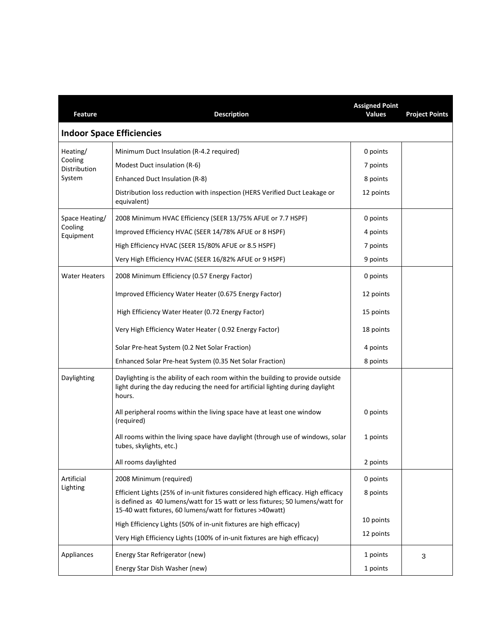| <b>Feature</b>          | <b>Description</b>                                                                                                                                                                                                              | <b>Assigned Point</b><br><b>Values</b> | <b>Project Points</b> |
|-------------------------|---------------------------------------------------------------------------------------------------------------------------------------------------------------------------------------------------------------------------------|----------------------------------------|-----------------------|
|                         | <b>Indoor Space Efficiencies</b>                                                                                                                                                                                                |                                        |                       |
| Heating/                | Minimum Duct Insulation (R-4.2 required)                                                                                                                                                                                        | 0 points                               |                       |
| Cooling<br>Distribution | Modest Duct insulation (R-6)                                                                                                                                                                                                    | 7 points                               |                       |
| System                  | Enhanced Duct Insulation (R-8)                                                                                                                                                                                                  | 8 points                               |                       |
|                         | Distribution loss reduction with inspection (HERS Verified Duct Leakage or<br>equivalent)                                                                                                                                       | 12 points                              |                       |
| Space Heating/          | 2008 Minimum HVAC Efficiency (SEER 13/75% AFUE or 7.7 HSPF)                                                                                                                                                                     | 0 points                               |                       |
| Cooling<br>Equipment    | Improved Efficiency HVAC (SEER 14/78% AFUE or 8 HSPF)                                                                                                                                                                           | 4 points                               |                       |
|                         | High Efficiency HVAC (SEER 15/80% AFUE or 8.5 HSPF)                                                                                                                                                                             | 7 points                               |                       |
|                         | Very High Efficiency HVAC (SEER 16/82% AFUE or 9 HSPF)                                                                                                                                                                          | 9 points                               |                       |
| <b>Water Heaters</b>    | 2008 Minimum Efficiency (0.57 Energy Factor)                                                                                                                                                                                    | 0 points                               |                       |
|                         | Improved Efficiency Water Heater (0.675 Energy Factor)                                                                                                                                                                          | 12 points                              |                       |
|                         | High Efficiency Water Heater (0.72 Energy Factor)                                                                                                                                                                               | 15 points                              |                       |
|                         | Very High Efficiency Water Heater (0.92 Energy Factor)                                                                                                                                                                          | 18 points                              |                       |
|                         | Solar Pre-heat System (0.2 Net Solar Fraction)                                                                                                                                                                                  | 4 points                               |                       |
|                         | Enhanced Solar Pre-heat System (0.35 Net Solar Fraction)                                                                                                                                                                        | 8 points                               |                       |
| Daylighting             | Daylighting is the ability of each room within the building to provide outside<br>light during the day reducing the need for artificial lighting during daylight<br>hours.                                                      |                                        |                       |
|                         | All peripheral rooms within the living space have at least one window<br>(required)                                                                                                                                             | 0 points                               |                       |
|                         | All rooms within the living space have daylight (through use of windows, solar<br>tubes, skylights, etc.)                                                                                                                       | 1 points                               |                       |
|                         | All rooms daylighted                                                                                                                                                                                                            | 2 points                               |                       |
| Artificial              | 2008 Minimum (required)                                                                                                                                                                                                         | 0 points                               |                       |
| Lighting                | Efficient Lights (25% of in-unit fixtures considered high efficacy. High efficacy<br>is defined as 40 lumens/watt for 15 watt or less fixtures; 50 lumens/watt for<br>15-40 watt fixtures, 60 lumens/watt for fixtures >40watt) | 8 points                               |                       |
|                         | High Efficiency Lights (50% of in-unit fixtures are high efficacy)                                                                                                                                                              | 10 points                              |                       |
|                         | Very High Efficiency Lights (100% of in-unit fixtures are high efficacy)                                                                                                                                                        | 12 points                              |                       |
| Appliances              | Energy Star Refrigerator (new)                                                                                                                                                                                                  | 1 points                               | 3                     |
|                         | Energy Star Dish Washer (new)                                                                                                                                                                                                   | 1 points                               |                       |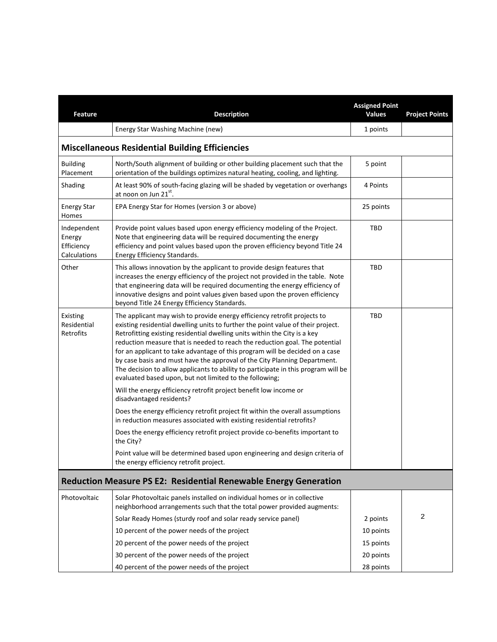| <b>Feature</b>                                      | <b>Description</b>                                                                                                                                                                                                                                                                                                                                                                                                                                                                                                                                                                                                                     | <b>Assigned Point</b><br><b>Values</b> | <b>Project Points</b> |
|-----------------------------------------------------|----------------------------------------------------------------------------------------------------------------------------------------------------------------------------------------------------------------------------------------------------------------------------------------------------------------------------------------------------------------------------------------------------------------------------------------------------------------------------------------------------------------------------------------------------------------------------------------------------------------------------------------|----------------------------------------|-----------------------|
|                                                     | Energy Star Washing Machine (new)                                                                                                                                                                                                                                                                                                                                                                                                                                                                                                                                                                                                      | 1 points                               |                       |
|                                                     | <b>Miscellaneous Residential Building Efficiencies</b>                                                                                                                                                                                                                                                                                                                                                                                                                                                                                                                                                                                 |                                        |                       |
| <b>Building</b><br>Placement                        | North/South alignment of building or other building placement such that the<br>orientation of the buildings optimizes natural heating, cooling, and lighting.                                                                                                                                                                                                                                                                                                                                                                                                                                                                          | 5 point                                |                       |
| Shading                                             | At least 90% of south-facing glazing will be shaded by vegetation or overhangs<br>at noon on Jun 21st.                                                                                                                                                                                                                                                                                                                                                                                                                                                                                                                                 | 4 Points                               |                       |
| <b>Energy Star</b><br>Homes                         | EPA Energy Star for Homes (version 3 or above)                                                                                                                                                                                                                                                                                                                                                                                                                                                                                                                                                                                         | 25 points                              |                       |
| Independent<br>Energy<br>Efficiency<br>Calculations | Provide point values based upon energy efficiency modeling of the Project.<br>Note that engineering data will be required documenting the energy<br>efficiency and point values based upon the proven efficiency beyond Title 24<br>Energy Efficiency Standards.                                                                                                                                                                                                                                                                                                                                                                       | TBD                                    |                       |
| Other                                               | This allows innovation by the applicant to provide design features that<br>increases the energy efficiency of the project not provided in the table. Note<br>that engineering data will be required documenting the energy efficiency of<br>innovative designs and point values given based upon the proven efficiency<br>beyond Title 24 Energy Efficiency Standards.                                                                                                                                                                                                                                                                 | TBD                                    |                       |
| Existing<br>Residential<br>Retrofits                | The applicant may wish to provide energy efficiency retrofit projects to<br>existing residential dwelling units to further the point value of their project.<br>Retrofitting existing residential dwelling units within the City is a key<br>reduction measure that is needed to reach the reduction goal. The potential<br>for an applicant to take advantage of this program will be decided on a case<br>by case basis and must have the approval of the City Planning Department.<br>The decision to allow applicants to ability to participate in this program will be<br>evaluated based upon, but not limited to the following; | TBD                                    |                       |
|                                                     | Will the energy efficiency retrofit project benefit low income or<br>disadvantaged residents?<br>Does the energy efficiency retrofit project fit within the overall assumptions                                                                                                                                                                                                                                                                                                                                                                                                                                                        |                                        |                       |
|                                                     | in reduction measures associated with existing residential retrofits?                                                                                                                                                                                                                                                                                                                                                                                                                                                                                                                                                                  |                                        |                       |
|                                                     | Does the energy efficiency retrofit project provide co-benefits important to<br>the City?                                                                                                                                                                                                                                                                                                                                                                                                                                                                                                                                              |                                        |                       |
|                                                     | Point value will be determined based upon engineering and design criteria of<br>the energy efficiency retrofit project.                                                                                                                                                                                                                                                                                                                                                                                                                                                                                                                |                                        |                       |
|                                                     | <b>Reduction Measure PS E2: Residential Renewable Energy Generation</b>                                                                                                                                                                                                                                                                                                                                                                                                                                                                                                                                                                |                                        |                       |
| Photovoltaic                                        | Solar Photovoltaic panels installed on individual homes or in collective<br>neighborhood arrangements such that the total power provided augments:                                                                                                                                                                                                                                                                                                                                                                                                                                                                                     |                                        |                       |
|                                                     | Solar Ready Homes (sturdy roof and solar ready service panel)                                                                                                                                                                                                                                                                                                                                                                                                                                                                                                                                                                          | 2 points                               | 2                     |
|                                                     | 10 percent of the power needs of the project                                                                                                                                                                                                                                                                                                                                                                                                                                                                                                                                                                                           | 10 points                              |                       |
|                                                     | 20 percent of the power needs of the project                                                                                                                                                                                                                                                                                                                                                                                                                                                                                                                                                                                           | 15 points                              |                       |
|                                                     | 30 percent of the power needs of the project                                                                                                                                                                                                                                                                                                                                                                                                                                                                                                                                                                                           | 20 points                              |                       |
|                                                     | 40 percent of the power needs of the project                                                                                                                                                                                                                                                                                                                                                                                                                                                                                                                                                                                           | 28 points                              |                       |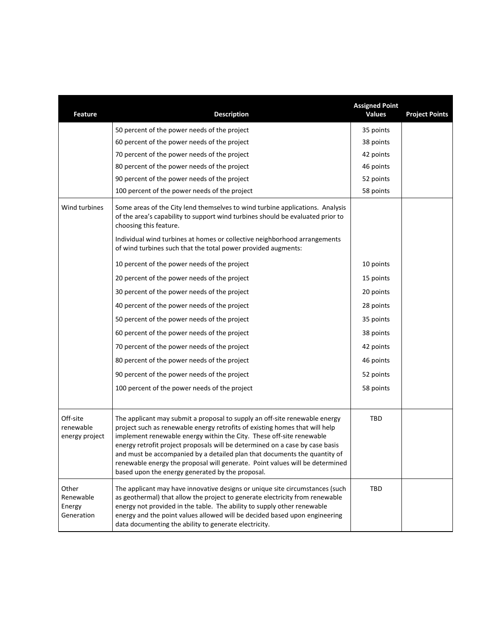| <b>Feature</b>                             | <b>Description</b>                                                                                                                                                                                                                                                                                                                                                                                                                                                                                                                 | <b>Assigned Point</b><br><b>Values</b> | <b>Project Points</b> |
|--------------------------------------------|------------------------------------------------------------------------------------------------------------------------------------------------------------------------------------------------------------------------------------------------------------------------------------------------------------------------------------------------------------------------------------------------------------------------------------------------------------------------------------------------------------------------------------|----------------------------------------|-----------------------|
|                                            | 50 percent of the power needs of the project                                                                                                                                                                                                                                                                                                                                                                                                                                                                                       | 35 points                              |                       |
|                                            | 60 percent of the power needs of the project                                                                                                                                                                                                                                                                                                                                                                                                                                                                                       | 38 points                              |                       |
|                                            | 70 percent of the power needs of the project                                                                                                                                                                                                                                                                                                                                                                                                                                                                                       | 42 points                              |                       |
|                                            | 80 percent of the power needs of the project                                                                                                                                                                                                                                                                                                                                                                                                                                                                                       | 46 points                              |                       |
|                                            | 90 percent of the power needs of the project                                                                                                                                                                                                                                                                                                                                                                                                                                                                                       | 52 points                              |                       |
|                                            | 100 percent of the power needs of the project                                                                                                                                                                                                                                                                                                                                                                                                                                                                                      | 58 points                              |                       |
| Wind turbines                              | Some areas of the City lend themselves to wind turbine applications. Analysis<br>of the area's capability to support wind turbines should be evaluated prior to<br>choosing this feature.                                                                                                                                                                                                                                                                                                                                          |                                        |                       |
|                                            | Individual wind turbines at homes or collective neighborhood arrangements<br>of wind turbines such that the total power provided augments:                                                                                                                                                                                                                                                                                                                                                                                         |                                        |                       |
|                                            | 10 percent of the power needs of the project                                                                                                                                                                                                                                                                                                                                                                                                                                                                                       | 10 points                              |                       |
|                                            | 20 percent of the power needs of the project                                                                                                                                                                                                                                                                                                                                                                                                                                                                                       | 15 points                              |                       |
|                                            | 30 percent of the power needs of the project                                                                                                                                                                                                                                                                                                                                                                                                                                                                                       | 20 points                              |                       |
|                                            | 40 percent of the power needs of the project                                                                                                                                                                                                                                                                                                                                                                                                                                                                                       | 28 points                              |                       |
|                                            | 50 percent of the power needs of the project                                                                                                                                                                                                                                                                                                                                                                                                                                                                                       | 35 points                              |                       |
|                                            | 60 percent of the power needs of the project                                                                                                                                                                                                                                                                                                                                                                                                                                                                                       | 38 points                              |                       |
|                                            | 70 percent of the power needs of the project                                                                                                                                                                                                                                                                                                                                                                                                                                                                                       | 42 points                              |                       |
|                                            | 80 percent of the power needs of the project                                                                                                                                                                                                                                                                                                                                                                                                                                                                                       | 46 points                              |                       |
|                                            | 90 percent of the power needs of the project                                                                                                                                                                                                                                                                                                                                                                                                                                                                                       | 52 points                              |                       |
|                                            | 100 percent of the power needs of the project                                                                                                                                                                                                                                                                                                                                                                                                                                                                                      | 58 points                              |                       |
|                                            |                                                                                                                                                                                                                                                                                                                                                                                                                                                                                                                                    |                                        |                       |
| Off-site<br>renewable<br>energy project    | The applicant may submit a proposal to supply an off-site renewable energy<br>project such as renewable energy retrofits of existing homes that will help<br>implement renewable energy within the City. These off-site renewable<br>energy retrofit project proposals will be determined on a case by case basis<br>and must be accompanied by a detailed plan that documents the quantity of<br>renewable energy the proposal will generate. Point values will be determined<br>based upon the energy generated by the proposal. | TBD                                    |                       |
| Other<br>Renewable<br>Energy<br>Generation | The applicant may have innovative designs or unique site circumstances (such<br>as geothermal) that allow the project to generate electricity from renewable<br>energy not provided in the table. The ability to supply other renewable<br>energy and the point values allowed will be decided based upon engineering<br>data documenting the ability to generate electricity.                                                                                                                                                     | TBD                                    |                       |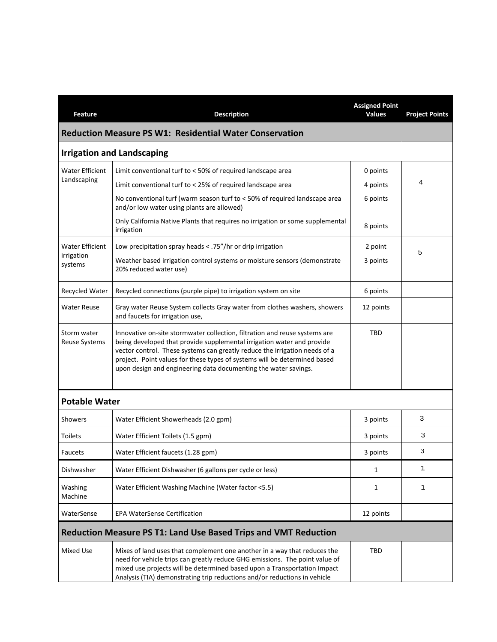| <b>Feature</b>                                                         | <b>Description</b>                                                                                                                                                                                                                                                                                                                                                                 | <b>Assigned Point</b><br><b>Values</b> | <b>Project Points</b> |
|------------------------------------------------------------------------|------------------------------------------------------------------------------------------------------------------------------------------------------------------------------------------------------------------------------------------------------------------------------------------------------------------------------------------------------------------------------------|----------------------------------------|-----------------------|
|                                                                        | <b>Reduction Measure PS W1: Residential Water Conservation</b>                                                                                                                                                                                                                                                                                                                     |                                        |                       |
|                                                                        | <b>Irrigation and Landscaping</b>                                                                                                                                                                                                                                                                                                                                                  |                                        |                       |
| <b>Water Efficient</b>                                                 | Limit conventional turf to < 50% of required landscape area                                                                                                                                                                                                                                                                                                                        | 0 points                               |                       |
| Landscaping                                                            | Limit conventional turf to < 25% of required landscape area                                                                                                                                                                                                                                                                                                                        | 4 points                               | 4                     |
|                                                                        | No conventional turf (warm season turf to < 50% of required landscape area<br>and/or low water using plants are allowed)                                                                                                                                                                                                                                                           | 6 points                               |                       |
|                                                                        | Only California Native Plants that requires no irrigation or some supplemental<br>irrigation                                                                                                                                                                                                                                                                                       | 8 points                               |                       |
| <b>Water Efficient</b>                                                 | Low precipitation spray heads < .75"/hr or drip irrigation                                                                                                                                                                                                                                                                                                                         | 2 point                                | 5                     |
| irrigation<br>systems                                                  | Weather based irrigation control systems or moisture sensors (demonstrate<br>20% reduced water use)                                                                                                                                                                                                                                                                                | 3 points                               |                       |
| Recycled Water                                                         | Recycled connections (purple pipe) to irrigation system on site                                                                                                                                                                                                                                                                                                                    | 6 points                               |                       |
| Water Reuse                                                            | Gray water Reuse System collects Gray water from clothes washers, showers<br>and faucets for irrigation use,                                                                                                                                                                                                                                                                       | 12 points                              |                       |
| Storm water<br><b>Reuse Systems</b>                                    | Innovative on-site stormwater collection, filtration and reuse systems are<br>being developed that provide supplemental irrigation water and provide<br>vector control. These systems can greatly reduce the irrigation needs of a<br>project. Point values for these types of systems will be determined based<br>upon design and engineering data documenting the water savings. | TBD                                    |                       |
| <b>Potable Water</b>                                                   |                                                                                                                                                                                                                                                                                                                                                                                    |                                        |                       |
| Showers                                                                | Water Efficient Showerheads (2.0 gpm)                                                                                                                                                                                                                                                                                                                                              | 3 points                               | 3                     |
| <b>Toilets</b>                                                         | Water Efficient Toilets (1.5 gpm)                                                                                                                                                                                                                                                                                                                                                  | 3 points                               | 3                     |
| Faucets                                                                | Water Efficient faucets (1.28 gpm)                                                                                                                                                                                                                                                                                                                                                 | 3 points                               | 3                     |
| Dishwasher                                                             | Water Efficient Dishwasher (6 gallons per cycle or less)                                                                                                                                                                                                                                                                                                                           | 1                                      | 1                     |
| Washing<br>Machine                                                     | Water Efficient Washing Machine (Water factor <5.5)                                                                                                                                                                                                                                                                                                                                | 1                                      | 1                     |
| WaterSense                                                             | <b>EPA WaterSense Certification</b>                                                                                                                                                                                                                                                                                                                                                | 12 points                              |                       |
| <b>Reduction Measure PS T1: Land Use Based Trips and VMT Reduction</b> |                                                                                                                                                                                                                                                                                                                                                                                    |                                        |                       |
| Mixed Use                                                              | Mixes of land uses that complement one another in a way that reduces the<br>need for vehicle trips can greatly reduce GHG emissions. The point value of<br>mixed use projects will be determined based upon a Transportation Impact<br>Analysis (TIA) demonstrating trip reductions and/or reductions in vehicle                                                                   | TBD                                    |                       |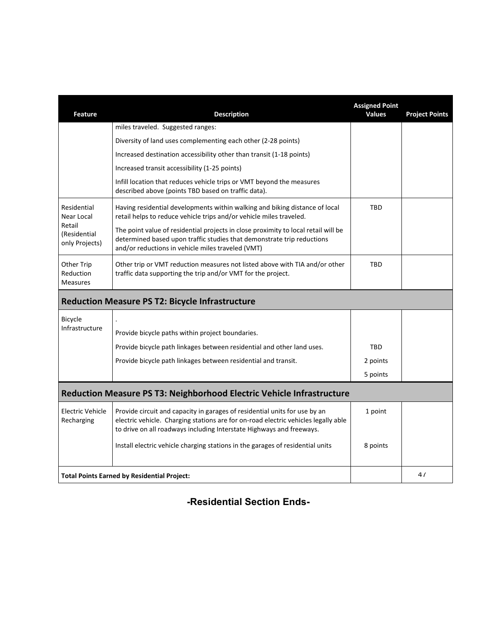| <b>Feature</b>                             | <b>Description</b>                                                                                                                                                                                                                       | <b>Assigned Point</b><br><b>Values</b> | <b>Project Points</b> |
|--------------------------------------------|------------------------------------------------------------------------------------------------------------------------------------------------------------------------------------------------------------------------------------------|----------------------------------------|-----------------------|
|                                            | miles traveled. Suggested ranges:                                                                                                                                                                                                        |                                        |                       |
|                                            | Diversity of land uses complementing each other (2-28 points)                                                                                                                                                                            |                                        |                       |
|                                            | Increased destination accessibility other than transit (1-18 points)                                                                                                                                                                     |                                        |                       |
|                                            | Increased transit accessibility (1-25 points)                                                                                                                                                                                            |                                        |                       |
|                                            | Infill location that reduces vehicle trips or VMT beyond the measures<br>described above (points TBD based on traffic data).                                                                                                             |                                        |                       |
| Residential<br>Near Local                  | Having residential developments within walking and biking distance of local<br>retail helps to reduce vehicle trips and/or vehicle miles traveled.                                                                                       | <b>TBD</b>                             |                       |
| Retail<br>(Residential<br>only Projects)   | The point value of residential projects in close proximity to local retail will be<br>determined based upon traffic studies that demonstrate trip reductions<br>and/or reductions in vehicle miles traveled (VMT)                        |                                        |                       |
| Other Trip<br>Reduction<br><b>Measures</b> | Other trip or VMT reduction measures not listed above with TIA and/or other<br>traffic data supporting the trip and/or VMT for the project.                                                                                              | <b>TBD</b>                             |                       |
|                                            | <b>Reduction Measure PS T2: Bicycle Infrastructure</b>                                                                                                                                                                                   |                                        |                       |
| Bicycle                                    |                                                                                                                                                                                                                                          |                                        |                       |
| Infrastructure                             | Provide bicycle paths within project boundaries.                                                                                                                                                                                         |                                        |                       |
|                                            | Provide bicycle path linkages between residential and other land uses.                                                                                                                                                                   | <b>TBD</b>                             |                       |
|                                            | Provide bicycle path linkages between residential and transit.                                                                                                                                                                           | 2 points                               |                       |
|                                            |                                                                                                                                                                                                                                          | 5 points                               |                       |
|                                            | Reduction Measure PS T3: Neighborhood Electric Vehicle Infrastructure                                                                                                                                                                    |                                        |                       |
| <b>Electric Vehicle</b><br>Recharging      | Provide circuit and capacity in garages of residential units for use by an<br>electric vehicle. Charging stations are for on-road electric vehicles legally able<br>to drive on all roadways including Interstate Highways and freeways. | 1 point                                |                       |
|                                            | Install electric vehicle charging stations in the garages of residential units                                                                                                                                                           | 8 points                               |                       |
|                                            | <b>Total Points Earned by Residential Project:</b>                                                                                                                                                                                       |                                        | 47                    |

**-Residential Section Ends-**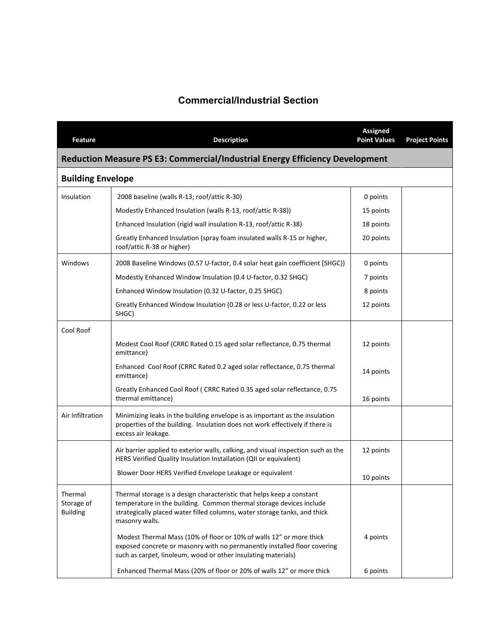# **Commercial/Industrial Section**

| Feature                                  | <b>Description</b>                                                                                                                                                                                                                          | <b>Assigned</b><br><b>Point Values</b> | <b>Project Points</b> |
|------------------------------------------|---------------------------------------------------------------------------------------------------------------------------------------------------------------------------------------------------------------------------------------------|----------------------------------------|-----------------------|
|                                          | Reduction Measure PS E3: Commercial/Industrial Energy Efficiency Development                                                                                                                                                                |                                        |                       |
| <b>Building Envelope</b>                 |                                                                                                                                                                                                                                             |                                        |                       |
| Insulation                               | 2008 baseline (walls R-13; roof/attic R-30)                                                                                                                                                                                                 | 0 points                               |                       |
|                                          | Modestly Enhanced Insulation (walls R-13, roof/attic R-38))                                                                                                                                                                                 | 15 points                              |                       |
|                                          | Enhanced Insulation (rigid wall insulation R-13, roof/attic R-38)                                                                                                                                                                           | 18 points                              |                       |
|                                          | Greatly Enhanced Insulation (spray foam insulated walls R-15 or higher,<br>roof/attic R-38 or higher)                                                                                                                                       | 20 points                              |                       |
| Windows                                  | 2008 Baseline Windows (0.57 U-factor, 0.4 solar heat gain coefficient [SHGC])                                                                                                                                                               | 0 points                               |                       |
|                                          | Modestly Enhanced Window Insulation (0.4 U-factor, 0.32 SHGC)                                                                                                                                                                               | 7 points                               |                       |
|                                          | Enhanced Window Insulation (0.32 U-factor, 0.25 SHGC)                                                                                                                                                                                       | 8 points                               |                       |
|                                          | Greatly Enhanced Window Insulation (0.28 or less U-factor, 0.22 or less<br>SHGC)                                                                                                                                                            | 12 points                              |                       |
| Cool Roof                                |                                                                                                                                                                                                                                             |                                        |                       |
|                                          | Modest Cool Roof (CRRC Rated 0.15 aged solar reflectance, 0.75 thermal<br>emittance)                                                                                                                                                        | 12 points                              |                       |
|                                          | Enhanced Cool Roof (CRRC Rated 0.2 aged solar reflectance, 0.75 thermal<br>emittance)                                                                                                                                                       | 14 points                              |                       |
|                                          | Greatly Enhanced Cool Roof (CRRC Rated 0.35 aged solar reflectance, 0.75<br>thermal emittance)                                                                                                                                              | 16 points                              |                       |
| Air Infiltration                         | Minimizing leaks in the building envelope is as important as the insulation<br>properties of the building. Insulation does not work effectively if there is<br>excess air leakage.                                                          |                                        |                       |
|                                          | Air barrier applied to exterior walls, calking, and visual inspection such as the<br>HERS Verified Quality Insulation Installation (QII or equivalent)                                                                                      | 12 points                              |                       |
|                                          | Blower Door HERS Verified Envelope Leakage or equivalent                                                                                                                                                                                    | 10 points                              |                       |
| Thermal<br>Storage of<br><b>Building</b> | Thermal storage is a design characteristic that helps keep a constant<br>temperature in the building. Common thermal storage devices include<br>strategically placed water filled columns, water storage tanks, and thick<br>masonry walls. |                                        |                       |
|                                          | Modest Thermal Mass (10% of floor or 10% of walls 12" or more thick<br>exposed concrete or masonry with no permanently installed floor covering<br>such as carpet, linoleum, wood or other insulating materials)                            | 4 points                               |                       |
|                                          | Enhanced Thermal Mass (20% of floor or 20% of walls 12" or more thick                                                                                                                                                                       | 6 points                               |                       |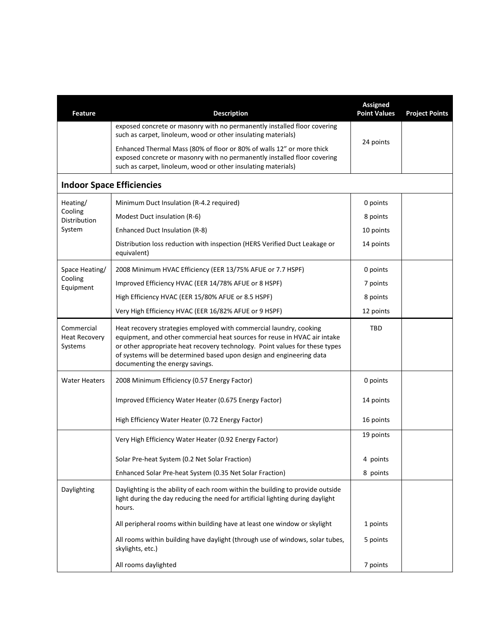| <b>Feature</b>                                | <b>Description</b>                                                                                                                                                                                                                                                                                                                        | <b>Assigned</b><br><b>Point Values</b> | <b>Project Points</b> |
|-----------------------------------------------|-------------------------------------------------------------------------------------------------------------------------------------------------------------------------------------------------------------------------------------------------------------------------------------------------------------------------------------------|----------------------------------------|-----------------------|
|                                               | exposed concrete or masonry with no permanently installed floor covering<br>such as carpet, linoleum, wood or other insulating materials)                                                                                                                                                                                                 |                                        |                       |
|                                               | Enhanced Thermal Mass (80% of floor or 80% of walls 12" or more thick<br>exposed concrete or masonry with no permanently installed floor covering<br>such as carpet, linoleum, wood or other insulating materials)                                                                                                                        | 24 points                              |                       |
|                                               | <b>Indoor Space Efficiencies</b>                                                                                                                                                                                                                                                                                                          |                                        |                       |
| Heating/                                      | Minimum Duct Insulation (R-4.2 required)                                                                                                                                                                                                                                                                                                  | 0 points                               |                       |
| Cooling<br><b>Distribution</b>                | Modest Duct insulation (R-6)                                                                                                                                                                                                                                                                                                              | 8 points                               |                       |
| System                                        | Enhanced Duct Insulation (R-8)                                                                                                                                                                                                                                                                                                            | 10 points                              |                       |
|                                               | Distribution loss reduction with inspection (HERS Verified Duct Leakage or<br>equivalent)                                                                                                                                                                                                                                                 | 14 points                              |                       |
| Space Heating/                                | 2008 Minimum HVAC Efficiency (EER 13/75% AFUE or 7.7 HSPF)                                                                                                                                                                                                                                                                                | 0 points                               |                       |
| Cooling<br>Equipment                          | Improved Efficiency HVAC (EER 14/78% AFUE or 8 HSPF)                                                                                                                                                                                                                                                                                      | 7 points                               |                       |
|                                               | High Efficiency HVAC (EER 15/80% AFUE or 8.5 HSPF)                                                                                                                                                                                                                                                                                        | 8 points                               |                       |
|                                               | Very High Efficiency HVAC (EER 16/82% AFUE or 9 HSPF)                                                                                                                                                                                                                                                                                     | 12 points                              |                       |
| Commercial<br><b>Heat Recovery</b><br>Systems | Heat recovery strategies employed with commercial laundry, cooking<br>equipment, and other commercial heat sources for reuse in HVAC air intake<br>or other appropriate heat recovery technology. Point values for these types<br>of systems will be determined based upon design and engineering data<br>documenting the energy savings. | <b>TBD</b>                             |                       |
| <b>Water Heaters</b>                          | 2008 Minimum Efficiency (0.57 Energy Factor)                                                                                                                                                                                                                                                                                              | 0 points                               |                       |
|                                               | Improved Efficiency Water Heater (0.675 Energy Factor)                                                                                                                                                                                                                                                                                    | 14 points                              |                       |
|                                               | High Efficiency Water Heater (0.72 Energy Factor)                                                                                                                                                                                                                                                                                         | 16 points                              |                       |
|                                               | Very High Efficiency Water Heater (0.92 Energy Factor)                                                                                                                                                                                                                                                                                    | 19 points                              |                       |
|                                               | Solar Pre-heat System (0.2 Net Solar Fraction)                                                                                                                                                                                                                                                                                            | 4 points                               |                       |
|                                               | Enhanced Solar Pre-heat System (0.35 Net Solar Fraction)                                                                                                                                                                                                                                                                                  | 8 points                               |                       |
| Daylighting                                   | Daylighting is the ability of each room within the building to provide outside<br>light during the day reducing the need for artificial lighting during daylight<br>hours.                                                                                                                                                                |                                        |                       |
|                                               | All peripheral rooms within building have at least one window or skylight                                                                                                                                                                                                                                                                 | 1 points                               |                       |
|                                               | All rooms within building have daylight (through use of windows, solar tubes,<br>skylights, etc.)                                                                                                                                                                                                                                         | 5 points                               |                       |
|                                               | All rooms daylighted                                                                                                                                                                                                                                                                                                                      | 7 points                               |                       |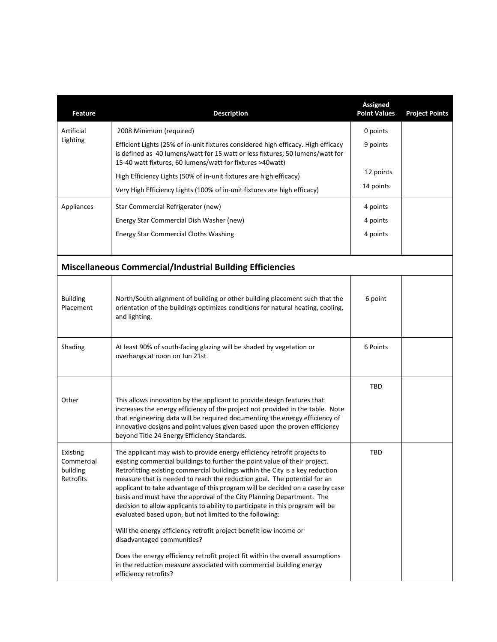| <b>Feature</b>                                  | <b>Description</b>                                                                                                                                                                                                                                                                                                                                                                                                                                                                                                                                                                                                                                                                                                                                                                                                                                                                                              | <b>Assigned</b><br><b>Point Values</b> | <b>Project Points</b> |
|-------------------------------------------------|-----------------------------------------------------------------------------------------------------------------------------------------------------------------------------------------------------------------------------------------------------------------------------------------------------------------------------------------------------------------------------------------------------------------------------------------------------------------------------------------------------------------------------------------------------------------------------------------------------------------------------------------------------------------------------------------------------------------------------------------------------------------------------------------------------------------------------------------------------------------------------------------------------------------|----------------------------------------|-----------------------|
| Artificial                                      | 2008 Minimum (required)                                                                                                                                                                                                                                                                                                                                                                                                                                                                                                                                                                                                                                                                                                                                                                                                                                                                                         | 0 points                               |                       |
| Lighting                                        | Efficient Lights (25% of in-unit fixtures considered high efficacy. High efficacy<br>is defined as 40 lumens/watt for 15 watt or less fixtures; 50 lumens/watt for<br>15-40 watt fixtures, 60 lumens/watt for fixtures >40watt)                                                                                                                                                                                                                                                                                                                                                                                                                                                                                                                                                                                                                                                                                 | 9 points                               |                       |
|                                                 | High Efficiency Lights (50% of in-unit fixtures are high efficacy)                                                                                                                                                                                                                                                                                                                                                                                                                                                                                                                                                                                                                                                                                                                                                                                                                                              | 12 points                              |                       |
|                                                 | Very High Efficiency Lights (100% of in-unit fixtures are high efficacy)                                                                                                                                                                                                                                                                                                                                                                                                                                                                                                                                                                                                                                                                                                                                                                                                                                        | 14 points                              |                       |
| Appliances                                      | Star Commercial Refrigerator (new)                                                                                                                                                                                                                                                                                                                                                                                                                                                                                                                                                                                                                                                                                                                                                                                                                                                                              | 4 points                               |                       |
|                                                 | Energy Star Commercial Dish Washer (new)                                                                                                                                                                                                                                                                                                                                                                                                                                                                                                                                                                                                                                                                                                                                                                                                                                                                        | 4 points                               |                       |
|                                                 | <b>Energy Star Commercial Cloths Washing</b>                                                                                                                                                                                                                                                                                                                                                                                                                                                                                                                                                                                                                                                                                                                                                                                                                                                                    | 4 points                               |                       |
|                                                 |                                                                                                                                                                                                                                                                                                                                                                                                                                                                                                                                                                                                                                                                                                                                                                                                                                                                                                                 |                                        |                       |
|                                                 | <b>Miscellaneous Commercial/Industrial Building Efficiencies</b>                                                                                                                                                                                                                                                                                                                                                                                                                                                                                                                                                                                                                                                                                                                                                                                                                                                |                                        |                       |
| <b>Building</b><br>Placement                    | North/South alignment of building or other building placement such that the<br>orientation of the buildings optimizes conditions for natural heating, cooling,<br>and lighting.                                                                                                                                                                                                                                                                                                                                                                                                                                                                                                                                                                                                                                                                                                                                 | 6 point                                |                       |
| Shading                                         | At least 90% of south-facing glazing will be shaded by vegetation or<br>overhangs at noon on Jun 21st.                                                                                                                                                                                                                                                                                                                                                                                                                                                                                                                                                                                                                                                                                                                                                                                                          | 6 Points                               |                       |
| Other                                           | This allows innovation by the applicant to provide design features that<br>increases the energy efficiency of the project not provided in the table. Note<br>that engineering data will be required documenting the energy efficiency of<br>innovative designs and point values given based upon the proven efficiency<br>beyond Title 24 Energy Efficiency Standards.                                                                                                                                                                                                                                                                                                                                                                                                                                                                                                                                          | TBD                                    |                       |
| Existing<br>Commercial<br>building<br>Retrofits | The applicant may wish to provide energy efficiency retrofit projects to<br>existing commercial buildings to further the point value of their project.<br>Retrofitting existing commercial buildings within the City is a key reduction<br>measure that is needed to reach the reduction goal. The potential for an<br>applicant to take advantage of this program will be decided on a case by case<br>basis and must have the approval of the City Planning Department. The<br>decision to allow applicants to ability to participate in this program will be<br>evaluated based upon, but not limited to the following:<br>Will the energy efficiency retrofit project benefit low income or<br>disadvantaged communities?<br>Does the energy efficiency retrofit project fit within the overall assumptions<br>in the reduction measure associated with commercial building energy<br>efficiency retrofits? | TBD                                    |                       |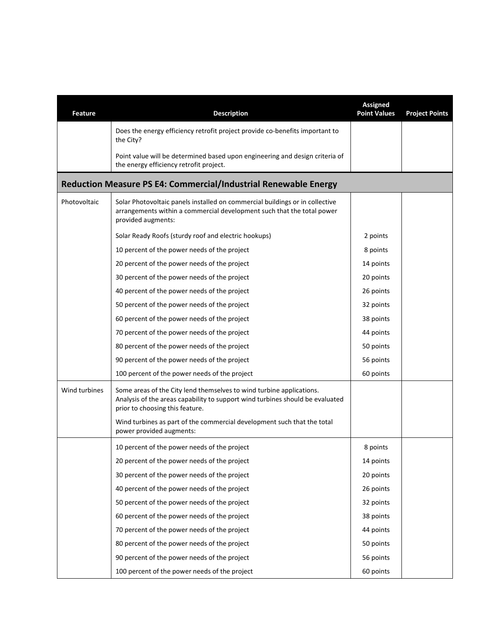| Feature       | <b>Description</b>                                                                                                                                                                       | <b>Assigned</b><br><b>Point Values</b> | <b>Project Points</b> |  |  |
|---------------|------------------------------------------------------------------------------------------------------------------------------------------------------------------------------------------|----------------------------------------|-----------------------|--|--|
|               | Does the energy efficiency retrofit project provide co-benefits important to<br>the City?                                                                                                |                                        |                       |  |  |
|               | Point value will be determined based upon engineering and design criteria of<br>the energy efficiency retrofit project.                                                                  |                                        |                       |  |  |
|               | Reduction Measure PS E4: Commercial/Industrial Renewable Energy                                                                                                                          |                                        |                       |  |  |
| Photovoltaic  | Solar Photovoltaic panels installed on commercial buildings or in collective<br>arrangements within a commercial development such that the total power<br>provided augments:             |                                        |                       |  |  |
|               | Solar Ready Roofs (sturdy roof and electric hookups)                                                                                                                                     | 2 points                               |                       |  |  |
|               | 10 percent of the power needs of the project                                                                                                                                             | 8 points                               |                       |  |  |
|               | 20 percent of the power needs of the project                                                                                                                                             | 14 points                              |                       |  |  |
|               | 30 percent of the power needs of the project                                                                                                                                             | 20 points                              |                       |  |  |
|               | 40 percent of the power needs of the project                                                                                                                                             | 26 points                              |                       |  |  |
|               | 50 percent of the power needs of the project                                                                                                                                             | 32 points                              |                       |  |  |
|               | 60 percent of the power needs of the project                                                                                                                                             | 38 points                              |                       |  |  |
|               | 70 percent of the power needs of the project                                                                                                                                             | 44 points                              |                       |  |  |
|               | 80 percent of the power needs of the project                                                                                                                                             | 50 points                              |                       |  |  |
|               | 90 percent of the power needs of the project                                                                                                                                             | 56 points                              |                       |  |  |
|               | 100 percent of the power needs of the project                                                                                                                                            | 60 points                              |                       |  |  |
| Wind turbines | Some areas of the City lend themselves to wind turbine applications.<br>Analysis of the areas capability to support wind turbines should be evaluated<br>prior to choosing this feature. |                                        |                       |  |  |
|               | Wind turbines as part of the commercial development such that the total<br>power provided augments:                                                                                      |                                        |                       |  |  |
|               | 10 percent of the power needs of the project                                                                                                                                             | 8 points                               |                       |  |  |
|               | 20 percent of the power needs of the project                                                                                                                                             | 14 points                              |                       |  |  |
|               | 30 percent of the power needs of the project                                                                                                                                             | 20 points                              |                       |  |  |
|               | 40 percent of the power needs of the project                                                                                                                                             | 26 points                              |                       |  |  |
|               | 50 percent of the power needs of the project                                                                                                                                             | 32 points                              |                       |  |  |
|               | 60 percent of the power needs of the project                                                                                                                                             | 38 points                              |                       |  |  |
|               | 70 percent of the power needs of the project                                                                                                                                             | 44 points                              |                       |  |  |
|               | 80 percent of the power needs of the project                                                                                                                                             | 50 points                              |                       |  |  |
|               | 90 percent of the power needs of the project                                                                                                                                             | 56 points                              |                       |  |  |
|               | 100 percent of the power needs of the project                                                                                                                                            | 60 points                              |                       |  |  |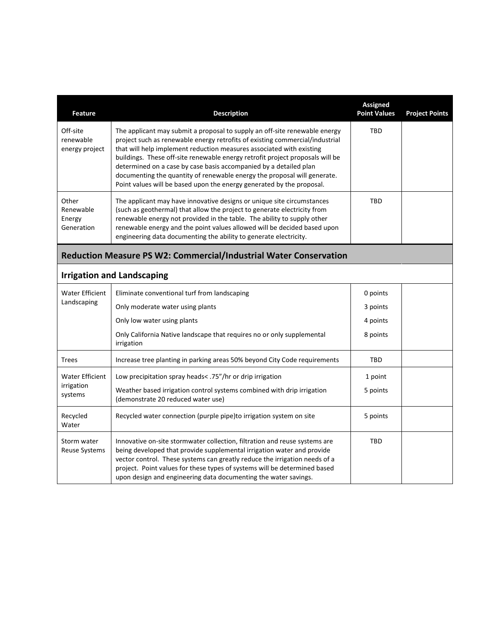| <b>Feature</b>                             | <b>Description</b>                                                                                                                                                                                                                                                                                                                                                                                                                                                                                                                            | <b>Assigned</b><br><b>Point Values</b> | <b>Project Points</b> |
|--------------------------------------------|-----------------------------------------------------------------------------------------------------------------------------------------------------------------------------------------------------------------------------------------------------------------------------------------------------------------------------------------------------------------------------------------------------------------------------------------------------------------------------------------------------------------------------------------------|----------------------------------------|-----------------------|
| Off-site<br>renewable<br>energy project    | The applicant may submit a proposal to supply an off-site renewable energy<br>project such as renewable energy retrofits of existing commercial/industrial<br>that will help implement reduction measures associated with existing<br>buildings. These off-site renewable energy retrofit project proposals will be<br>determined on a case by case basis accompanied by a detailed plan<br>documenting the quantity of renewable energy the proposal will generate.<br>Point values will be based upon the energy generated by the proposal. | TBD                                    |                       |
| Other<br>Renewable<br>Energy<br>Generation | The applicant may have innovative designs or unique site circumstances<br>(such as geothermal) that allow the project to generate electricity from<br>renewable energy not provided in the table. The ability to supply other<br>renewable energy and the point values allowed will be decided based upon<br>engineering data documenting the ability to generate electricity.                                                                                                                                                                | TBD                                    |                       |
|                                            | Reduction Measure PS W2: Commercial/Industrial Water Conservation                                                                                                                                                                                                                                                                                                                                                                                                                                                                             |                                        |                       |
|                                            | <b>Irrigation and Landscaping</b>                                                                                                                                                                                                                                                                                                                                                                                                                                                                                                             |                                        |                       |
| <b>Water Efficient</b>                     | Eliminate conventional turf from landscaping                                                                                                                                                                                                                                                                                                                                                                                                                                                                                                  | 0 points                               |                       |
| Landscaping                                | Only moderate water using plants                                                                                                                                                                                                                                                                                                                                                                                                                                                                                                              | 3 points                               |                       |
|                                            | Only low water using plants                                                                                                                                                                                                                                                                                                                                                                                                                                                                                                                   | 4 points                               |                       |
|                                            | Only California Native landscape that requires no or only supplemental<br>irrigation                                                                                                                                                                                                                                                                                                                                                                                                                                                          | 8 points                               |                       |
| <b>Trees</b>                               | Increase tree planting in parking areas 50% beyond City Code requirements                                                                                                                                                                                                                                                                                                                                                                                                                                                                     | TBD                                    |                       |
| <b>Water Efficient</b>                     | Low precipitation spray heads< .75"/hr or drip irrigation                                                                                                                                                                                                                                                                                                                                                                                                                                                                                     | 1 point                                |                       |
| irrigation<br>systems                      | Weather based irrigation control systems combined with drip irrigation<br>(demonstrate 20 reduced water use)                                                                                                                                                                                                                                                                                                                                                                                                                                  | 5 points                               |                       |
| Recycled<br>Water                          | Recycled water connection (purple pipe)to irrigation system on site                                                                                                                                                                                                                                                                                                                                                                                                                                                                           | 5 points                               |                       |
| Storm water<br><b>Reuse Systems</b>        | Innovative on-site stormwater collection, filtration and reuse systems are<br>being developed that provide supplemental irrigation water and provide<br>vector control. These systems can greatly reduce the irrigation needs of a<br>project. Point values for these types of systems will be determined based<br>upon design and engineering data documenting the water savings.                                                                                                                                                            | <b>TBD</b>                             |                       |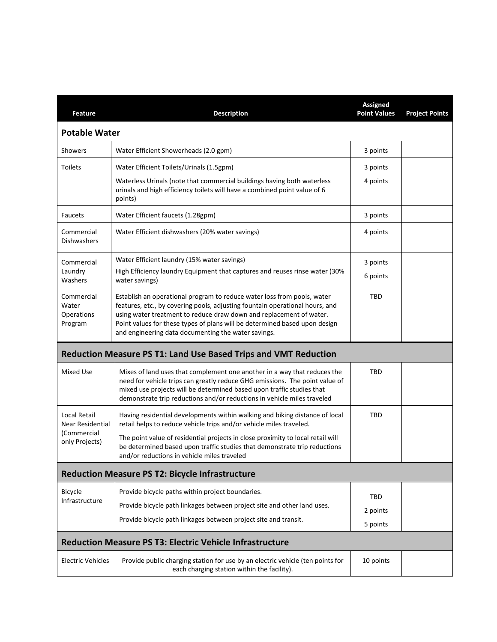| Feature                                                           | <b>Description</b>                                                                                                                                                                                                                                                                                                                                                  | <b>Assigned</b><br><b>Point Values</b> | <b>Project Points</b> |
|-------------------------------------------------------------------|---------------------------------------------------------------------------------------------------------------------------------------------------------------------------------------------------------------------------------------------------------------------------------------------------------------------------------------------------------------------|----------------------------------------|-----------------------|
| <b>Potable Water</b>                                              |                                                                                                                                                                                                                                                                                                                                                                     |                                        |                       |
| Showers                                                           | Water Efficient Showerheads (2.0 gpm)                                                                                                                                                                                                                                                                                                                               | 3 points                               |                       |
| <b>Toilets</b>                                                    | Water Efficient Toilets/Urinals (1.5gpm)                                                                                                                                                                                                                                                                                                                            | 3 points                               |                       |
|                                                                   | Waterless Urinals (note that commercial buildings having both waterless<br>urinals and high efficiency toilets will have a combined point value of 6<br>points)                                                                                                                                                                                                     | 4 points                               |                       |
| <b>Faucets</b>                                                    | Water Efficient faucets (1.28gpm)                                                                                                                                                                                                                                                                                                                                   | 3 points                               |                       |
| Commercial<br>Dishwashers                                         | Water Efficient dishwashers (20% water savings)                                                                                                                                                                                                                                                                                                                     | 4 points                               |                       |
| Commercial<br>Laundry<br>Washers                                  | Water Efficient laundry (15% water savings)<br>High Efficiency laundry Equipment that captures and reuses rinse water (30%<br>water savings)                                                                                                                                                                                                                        | 3 points                               |                       |
|                                                                   |                                                                                                                                                                                                                                                                                                                                                                     | 6 points                               |                       |
| Commercial<br>Water<br>Operations<br>Program                      | Establish an operational program to reduce water loss from pools, water<br>features, etc., by covering pools, adjusting fountain operational hours, and<br>using water treatment to reduce draw down and replacement of water.<br>Point values for these types of plans will be determined based upon design<br>and engineering data documenting the water savings. | TBD                                    |                       |
|                                                                   | <b>Reduction Measure PS T1: Land Use Based Trips and VMT Reduction</b>                                                                                                                                                                                                                                                                                              |                                        |                       |
| Mixed Use                                                         | Mixes of land uses that complement one another in a way that reduces the<br>need for vehicle trips can greatly reduce GHG emissions. The point value of<br>mixed use projects will be determined based upon traffic studies that<br>demonstrate trip reductions and/or reductions in vehicle miles traveled                                                         | TBD                                    |                       |
| Local Retail<br>Near Residential<br>(Commercial<br>only Projects) | Having residential developments within walking and biking distance of local<br>retail helps to reduce vehicle trips and/or vehicle miles traveled.                                                                                                                                                                                                                  | TBD                                    |                       |
|                                                                   | The point value of residential projects in close proximity to local retail will<br>be determined based upon traffic studies that demonstrate trip reductions<br>and/or reductions in vehicle miles traveled                                                                                                                                                         |                                        |                       |
|                                                                   | <b>Reduction Measure PS T2: Bicycle Infrastructure</b>                                                                                                                                                                                                                                                                                                              |                                        |                       |
| Bicycle<br>Infrastructure                                         | Provide bicycle paths within project boundaries.                                                                                                                                                                                                                                                                                                                    | TBD                                    |                       |
|                                                                   | Provide bicycle path linkages between project site and other land uses.                                                                                                                                                                                                                                                                                             | 2 points                               |                       |
|                                                                   | Provide bicycle path linkages between project site and transit.                                                                                                                                                                                                                                                                                                     | 5 points                               |                       |
|                                                                   | <b>Reduction Measure PS T3: Electric Vehicle Infrastructure</b>                                                                                                                                                                                                                                                                                                     |                                        |                       |
| <b>Electric Vehicles</b>                                          | Provide public charging station for use by an electric vehicle (ten points for<br>each charging station within the facility).                                                                                                                                                                                                                                       | 10 points                              |                       |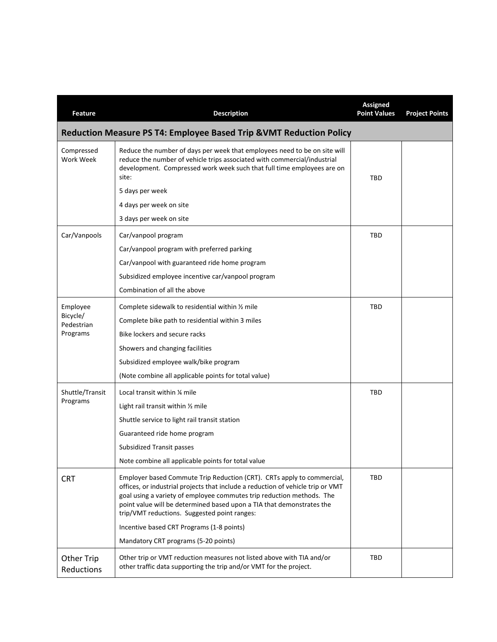| Feature                                                             | <b>Description</b>                                                                                                                                                                                                                                                                                                                                                                                                                               | <b>Assigned</b><br><b>Point Values</b> | <b>Project Points</b> |  |  |  |
|---------------------------------------------------------------------|--------------------------------------------------------------------------------------------------------------------------------------------------------------------------------------------------------------------------------------------------------------------------------------------------------------------------------------------------------------------------------------------------------------------------------------------------|----------------------------------------|-----------------------|--|--|--|
| Reduction Measure PS T4: Employee Based Trip & VMT Reduction Policy |                                                                                                                                                                                                                                                                                                                                                                                                                                                  |                                        |                       |  |  |  |
| Compressed<br>Work Week                                             | Reduce the number of days per week that employees need to be on site will<br>reduce the number of vehicle trips associated with commercial/industrial<br>development. Compressed work week such that full time employees are on<br>site:<br>5 days per week<br>4 days per week on site                                                                                                                                                           | <b>TBD</b>                             |                       |  |  |  |
|                                                                     | 3 days per week on site                                                                                                                                                                                                                                                                                                                                                                                                                          |                                        |                       |  |  |  |
| Car/Vanpools                                                        | Car/vanpool program<br>Car/vanpool program with preferred parking<br>Car/vanpool with guaranteed ride home program<br>Subsidized employee incentive car/vanpool program<br>Combination of all the above                                                                                                                                                                                                                                          | TBD                                    |                       |  |  |  |
| Employee<br>Bicycle/<br>Pedestrian<br>Programs                      | Complete sidewalk to residential within 1/2 mile<br>Complete bike path to residential within 3 miles<br>Bike lockers and secure racks<br>Showers and changing facilities<br>Subsidized employee walk/bike program<br>(Note combine all applicable points for total value)                                                                                                                                                                        | TBD                                    |                       |  |  |  |
| Shuttle/Transit<br>Programs                                         | Local transit within 1/4 mile<br>Light rail transit within 1/2 mile<br>Shuttle service to light rail transit station<br>Guaranteed ride home program<br>Subsidized Transit passes<br>Note combine all applicable points for total value                                                                                                                                                                                                          | <b>TBD</b>                             |                       |  |  |  |
| <b>CRT</b>                                                          | Employer based Commute Trip Reduction (CRT). CRTs apply to commercial,<br>offices, or industrial projects that include a reduction of vehicle trip or VMT<br>goal using a variety of employee commutes trip reduction methods. The<br>point value will be determined based upon a TIA that demonstrates the<br>trip/VMT reductions. Suggested point ranges:<br>Incentive based CRT Programs (1-8 points)<br>Mandatory CRT programs (5-20 points) | <b>TBD</b>                             |                       |  |  |  |
| <b>Other Trip</b><br>Reductions                                     | Other trip or VMT reduction measures not listed above with TIA and/or<br>other traffic data supporting the trip and/or VMT for the project.                                                                                                                                                                                                                                                                                                      | TBD                                    |                       |  |  |  |